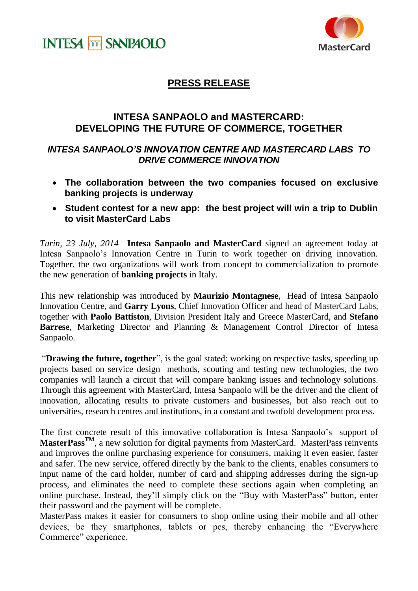



## **PRESS RELEASE**

## **INTESA SANPAOLO and MASTERCARD: DEVELOPING THE FUTURE OF COMMERCE, TOGETHER**

## *INTESA SANPAOLO'S INNOVATION CENTRE AND MASTERCARD LABS TO DRIVE COMMERCE INNOVATION*

- **The collaboration between the two companies focused on exclusive banking projects is underway**
- **Student contest for a new app: the best project will win a trip to Dublin to visit MasterCard Labs**

*Turin, 23 July, 2014* –**Intesa Sanpaolo and MasterCard** signed an agreement today at Intesa Sanpaolo's Innovation Centre in Turin to work together on driving innovation. Together, the two organizations will work from concept to commercialization to promote the new generation of **banking projects** in Italy.

This new relationship was introduced by **Maurizio Montagnese**, Head of Intesa Sanpaolo Innovation Centre, and **Garry Lyons**, Chief Innovation Officer and head of MasterCard Labs, together with **Paolo Battiston**, Division President Italy and Greece MasterCard, and **Stefano Barrese**, Marketing Director and Planning & Management Control Director of Intesa Sanpaolo.

"**Drawing the future, together**", is the goal stated: working on respective tasks, speeding up projects based on service design methods, scouting and testing new technologies, the two companies will launch a circuit that will compare banking issues and technology solutions. Through this agreement with MasterCard, Intesa Sanpaolo will be the driver and the client of innovation, allocating results to private customers and businesses, but also reach out to universities, research centres and institutions, in a constant and twofold development process.

The first concrete result of this innovative collaboration is Intesa Sanpaolo's support of **MasterPassTM**, a new solution for digital payments from MasterCard. MasterPass reinvents and improves the online purchasing experience for consumers, making it even easier, faster and safer. The new service, offered directly by the bank to the clients, enables consumers to input name of the card holder, number of card and shipping addresses during the sign-up process, and eliminates the need to complete these sections again when completing an online purchase. Instead, they'll simply click on the "Buy with MasterPass" button, enter their password and the payment will be complete.

MasterPass makes it easier for consumers to shop online using their mobile and all other devices, be they smartphones, tablets or pcs, thereby enhancing the "Everywhere" Commerce" experience.